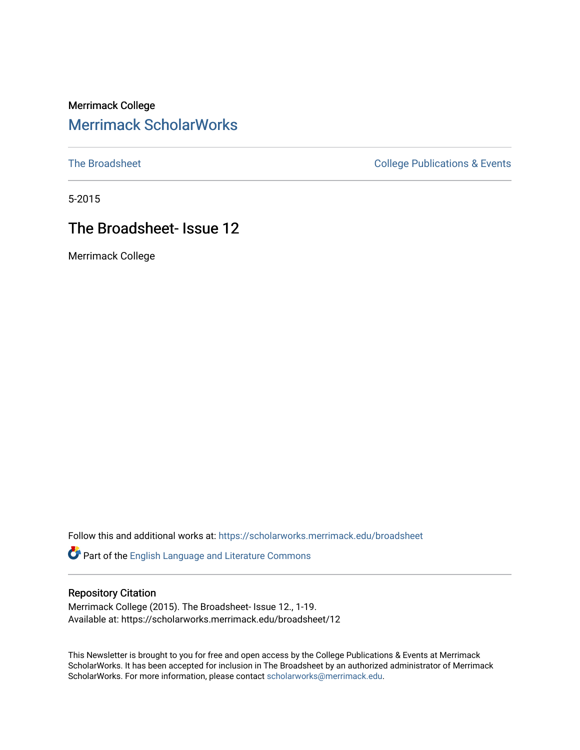# Merrimack College [Merrimack ScholarWorks](https://scholarworks.merrimack.edu/)

[The Broadsheet](https://scholarworks.merrimack.edu/broadsheet) **College Publications & Events** 

5-2015

# The Broadsheet- Issue 12

Merrimack College

Follow this and additional works at: [https://scholarworks.merrimack.edu/broadsheet](https://scholarworks.merrimack.edu/broadsheet?utm_source=scholarworks.merrimack.edu%2Fbroadsheet%2F12&utm_medium=PDF&utm_campaign=PDFCoverPages) 

Part of the [English Language and Literature Commons](http://network.bepress.com/hgg/discipline/455?utm_source=scholarworks.merrimack.edu%2Fbroadsheet%2F12&utm_medium=PDF&utm_campaign=PDFCoverPages)

#### Repository Citation

Merrimack College (2015). The Broadsheet- Issue 12., 1-19. Available at: https://scholarworks.merrimack.edu/broadsheet/12

This Newsletter is brought to you for free and open access by the College Publications & Events at Merrimack ScholarWorks. It has been accepted for inclusion in The Broadsheet by an authorized administrator of Merrimack ScholarWorks. For more information, please contact [scholarworks@merrimack.edu.](mailto:scholarworks@merrimack.edu)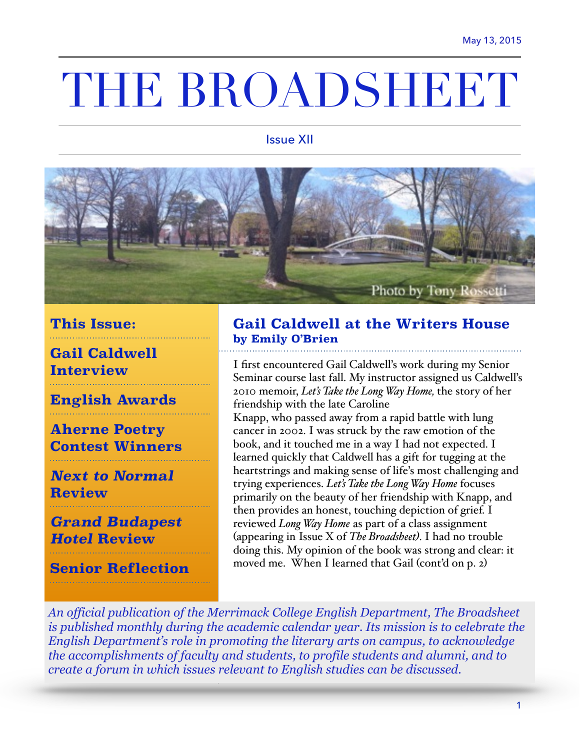# THE BROADSHEET

#### Issue XII



## **This Issue:**

**Gail Caldwell Interview** 

**English Awards** 

# **Aherne Poetry Contest Winners**

# *Next to Normal* **Review**

*Grand Budapest Hotel* **Review** 

**Senior Reflection** 

### **Gail Caldwell at the Writers House by Emily O'Brien**

I first encountered Gail Caldwell's work during my Senior Seminar course last fall. My instructor assigned us Caldwell's 2010 memoir, *Let's Take the Long Way Home,* the story of her friendship with the late Caroline

Knapp, who passed away from a rapid battle with lung cancer in 2002. I was struck by the raw emotion of the book, and it touched me in a way I had not expected. I learned quickly that Caldwell has a gift for tugging at the heartstrings and making sense of life's most challenging and trying experiences. *Let's Take the Long Way Home* focuses primarily on the beauty of her friendship with Knapp, and then provides an honest, touching depiction of grief. I reviewed *Long Way Home* as part of a class assignment (appearing in Issue X of *The Broadsheet).* I had no trouble doing this. My opinion of the book was strong and clear: it moved me. When I learned that Gail (cont'd on p. 2)

*An official publication of the Merrimack College English Department, The Broadsheet is published monthly during the academic calendar year. Its mission is to celebrate the English Department's role in promoting the literary arts on campus, to acknowledge the accomplishments of faculty and students, to profile students and alumni, and to create a forum in which issues relevant to English studies can be discussed.*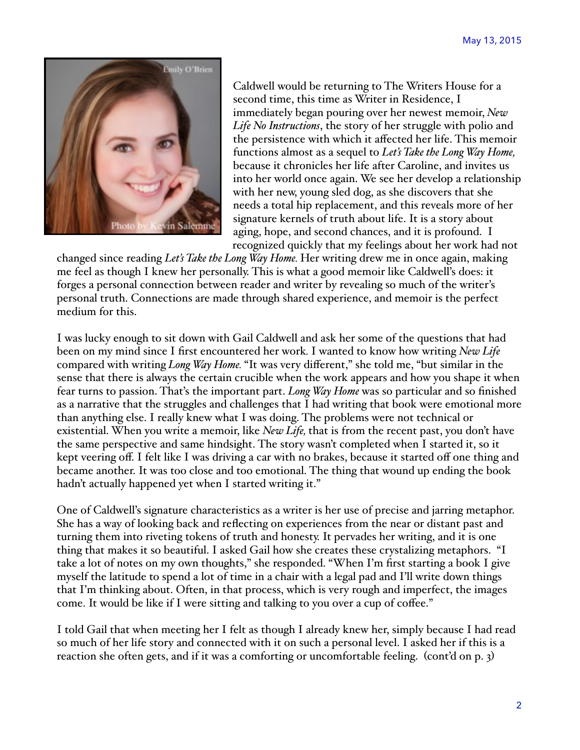

Caldwell would be returning to The Writers House for a second time, this time as Writer in Residence, I immediately began pouring over her newest memoir, *New Life No Instructions*, the story of her struggle with polio and the persistence with which it affected her life. This memoir functions almost as a sequel to *Let's Take the Long Way Home,*  because it chronicles her life after Caroline, and invites us into her world once again. We see her develop a relationship with her new, young sled dog, as she discovers that she needs a total hip replacement, and this reveals more of her signature kernels of truth about life. It is a story about aging, hope, and second chances, and it is profound. I recognized quickly that my feelings about her work had not

changed since reading *Let's Take the Long Way Home.* Her writing drew me in once again, making me feel as though I knew her personally. This is what a good memoir like Caldwell's does: it forges a personal connection between reader and writer by revealing so much of the writer's personal truth. Connections are made through shared experience, and memoir is the perfect medium for this.

I was lucky enough to sit down with Gail Caldwell and ask her some of the questions that had been on my mind since I first encountered her work*.* I wanted to know how writing *New Life*  compared with writing *Long Way Home.* "It was very different," she told me, "but similar in the sense that there is always the certain crucible when the work appears and how you shape it when fear turns to passion. That's the important part. *Long Way Home* was so particular and so finished as a narrative that the struggles and challenges that I had writing that book were emotional more than anything else. I really knew what I was doing. The problems were not technical or existential. When you write a memoir, like *New Life,* that is from the recent past, you don't have the same perspective and same hindsight. The story wasn't completed when I started it, so it kept veering off. I felt like I was driving a car with no brakes, because it started off one thing and became another. It was too close and too emotional. The thing that wound up ending the book hadn't actually happened yet when I started writing it."

One of Caldwell's signature characteristics as a writer is her use of precise and jarring metaphor. She has a way of looking back and reflecting on experiences from the near or distant past and turning them into riveting tokens of truth and honesty. It pervades her writing, and it is one thing that makes it so beautiful. I asked Gail how she creates these crystalizing metaphors. "I take a lot of notes on my own thoughts," she responded. "When I'm first starting a book I give myself the latitude to spend a lot of time in a chair with a legal pad and I'll write down things that I'm thinking about. Often, in that process, which is very rough and imperfect, the images come. It would be like if I were sitting and talking to you over a cup of coffee."

I told Gail that when meeting her I felt as though I already knew her, simply because I had read so much of her life story and connected with it on such a personal level. I asked her if this is a reaction she often gets, and if it was a comforting or uncomfortable feeling. (cont'd on p. 3)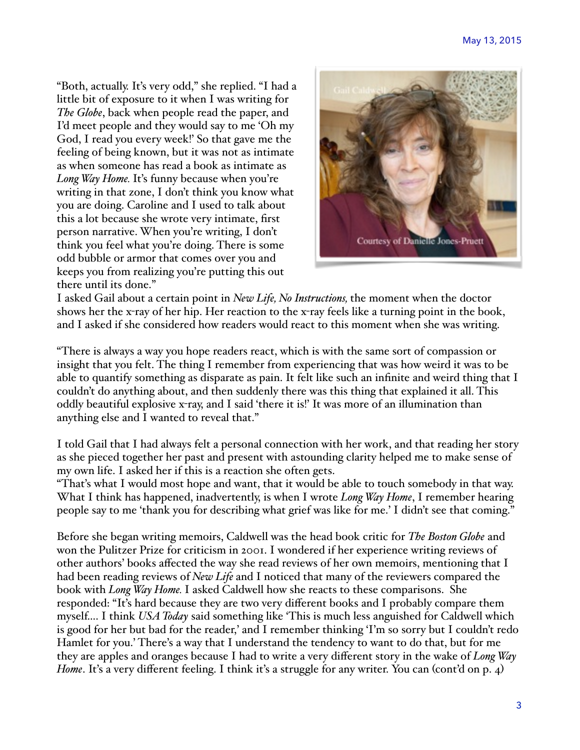"Both, actually. It's very odd," she replied. "I had a little bit of exposure to it when I was writing for *The Globe*, back when people read the paper, and I'd meet people and they would say to me 'Oh my God, I read you every week!' So that gave me the feeling of being known, but it was not as intimate as when someone has read a book as intimate as *Long Way Home.* It's funny because when you're writing in that zone, I don't think you know what you are doing. Caroline and I used to talk about this a lot because she wrote very intimate, first person narrative. When you're writing, I don't think you feel what you're doing. There is some odd bubble or armor that comes over you and keeps you from realizing you're putting this out there until its done."



I asked Gail about a certain point in *New Life, No Instructions,* the moment when the doctor shows her the x-ray of her hip. Her reaction to the x-ray feels like a turning point in the book, and I asked if she considered how readers would react to this moment when she was writing.

"There is always a way you hope readers react, which is with the same sort of compassion or insight that you felt. The thing I remember from experiencing that was how weird it was to be able to quantify something as disparate as pain. It felt like such an infinite and weird thing that I couldn't do anything about, and then suddenly there was this thing that explained it all. This oddly beautiful explosive x-ray, and I said 'there it is!' It was more of an illumination than anything else and I wanted to reveal that."

I told Gail that I had always felt a personal connection with her work, and that reading her story as she pieced together her past and present with astounding clarity helped me to make sense of my own life. I asked her if this is a reaction she often gets.

"That's what I would most hope and want, that it would be able to touch somebody in that way. What I think has happened, inadvertently, is when I wrote *Long Way Home*, I remember hearing people say to me 'thank you for describing what grief was like for me.' I didn't see that coming."

Before she began writing memoirs, Caldwell was the head book critic for *The Boston Globe* and won the Pulitzer Prize for criticism in 2001. I wondered if her experience writing reviews of other authors' books affected the way she read reviews of her own memoirs, mentioning that I had been reading reviews of *New Life* and I noticed that many of the reviewers compared the book with *Long Way Home.* I asked Caldwell how she reacts to these comparisons. She responded: "It's hard because they are two very different books and I probably compare them myself.... I think *USA Today* said something like 'This is much less anguished for Caldwell which is good for her but bad for the reader,' and I remember thinking 'I'm so sorry but I couldn't redo Hamlet for you.' There's a way that I understand the tendency to want to do that, but for me they are apples and oranges because I had to write a very different story in the wake of *Long Way Home*. It's a very different feeling. I think it's a struggle for any writer. You can (cont'd on p. 4)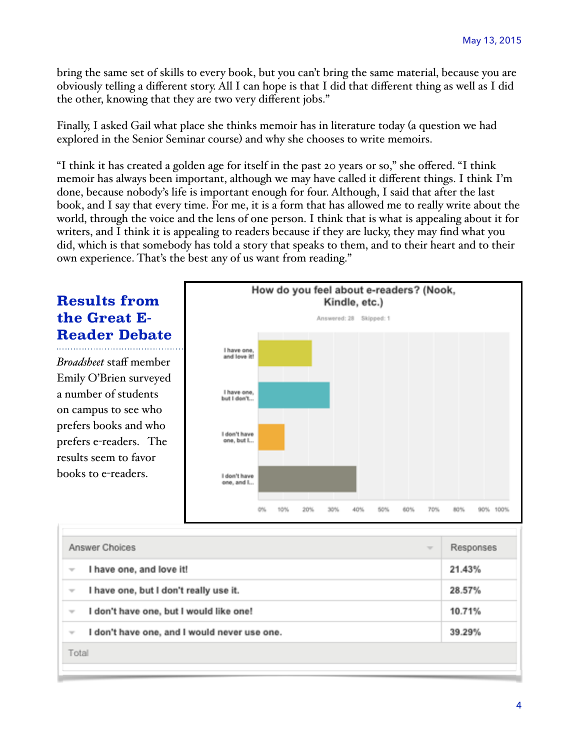bring the same set of skills to every book, but you can't bring the same material, because you are obviously telling a different story. All I can hope is that I did that different thing as well as I did the other, knowing that they are two very different jobs."

Finally, I asked Gail what place she thinks memoir has in literature today (a question we had explored in the Senior Seminar course) and why she chooses to write memoirs.

"I think it has created a golden age for itself in the past 20 years or so," she offered. "I think memoir has always been important, although we may have called it different things. I think I'm done, because nobody's life is important enough for four. Although, I said that after the last book, and I say that every time. For me, it is a form that has allowed me to really write about the world, through the voice and the lens of one person. I think that is what is appealing about it for writers, and I think it is appealing to readers because if they are lucky, they may find what you did, which is that somebody has told a story that speaks to them, and to their heart and to their own experience. That's the best any of us want from reading."

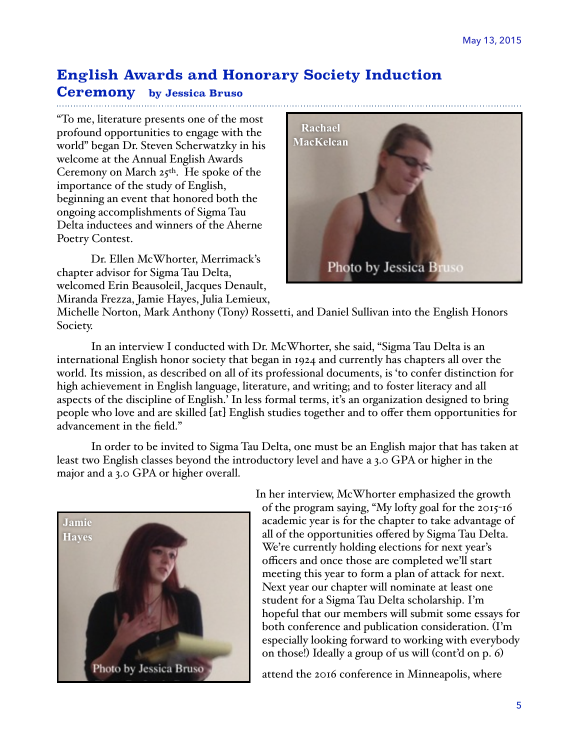## **English Awards and Honorary Society Induction**

#### **Ceremony by Jessica Bruso**

"To me, literature presents one of the most profound opportunities to engage with the world" began Dr. Steven Scherwatzky in his welcome at the Annual English Awards Ceremony on March  $25$ <sup>th</sup>. He spoke of the importance of the study of English, beginning an event that honored both the ongoing accomplishments of Sigma Tau Delta inductees and winners of the Aherne Poetry Contest.

Dr. Ellen McWhorter, Merrimack's chapter advisor for Sigma Tau Delta, welcomed Erin Beausoleil, Jacques Denault, Miranda Frezza, Jamie Hayes, Julia Lemieux,



Michelle Norton, Mark Anthony (Tony) Rossetti, and Daniel Sullivan into the English Honors Society.

In an interview I conducted with Dr. McWhorter, she said, "Sigma Tau Delta is an international English honor society that began in 1924 and currently has chapters all over the world. Its mission, as described on all of its professional documents, is 'to confer distinction for high achievement in English language, literature, and writing; and to foster literacy and all aspects of the discipline of English.' In less formal terms, it's an organization designed to bring people who love and are skilled [at] English studies together and to offer them opportunities for advancement in the field."

In order to be invited to Sigma Tau Delta, one must be an English major that has taken at least two English classes beyond the introductory level and have a 3.0 GPA or higher in the major and a 3.0 GPA or higher overall.



In her interview, McWhorter emphasized the growth of the program saying, "My lofty goal for the 2015-16 academic year is for the chapter to take advantage of all of the opportunities offered by Sigma Tau Delta. We're currently holding elections for next year's officers and once those are completed we'll start meeting this year to form a plan of attack for next. Next year our chapter will nominate at least one student for a Sigma Tau Delta scholarship. I'm hopeful that our members will submit some essays for both conference and publication consideration. (I'm especially looking forward to working with everybody on those!) Ideally a group of us will (cont'd on p. 6)!

attend the 2016 conference in Minneapolis, where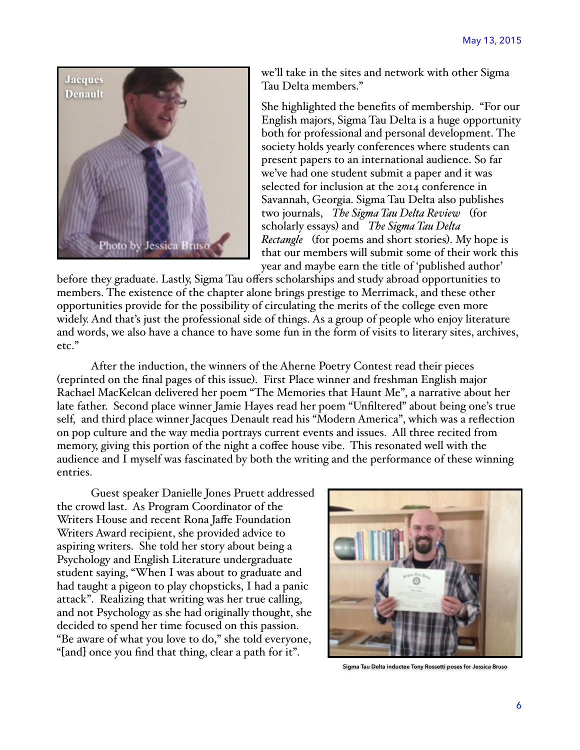

we'll take in the sites and network with other Sigma Tau Delta members."

She highlighted the benefits of membership. "For our English majors, Sigma Tau Delta is a huge opportunity both for professional and personal development. The society holds yearly conferences where students can present papers to an international audience. So far we've had one student submit a paper and it was selected for inclusion at the 2014 conference in Savannah, Georgia. Sigma Tau Delta also publishes two journals, *The Sigma Tau Delta Review* (for scholarly essays) and *The Sigma Tau Delta Rectangle* (for poems and short stories). My hope is that our members will submit some of their work this year and maybe earn the title of 'published author'

before they graduate. Lastly, Sigma Tau offers scholarships and study abroad opportunities to members. The existence of the chapter alone brings prestige to Merrimack, and these other opportunities provide for the possibility of circulating the merits of the college even more widely. And that's just the professional side of things. As a group of people who enjoy literature and words, we also have a chance to have some fun in the form of visits to literary sites, archives, etc."

After the induction, the winners of the Aherne Poetry Contest read their pieces (reprinted on the final pages of this issue). First Place winner and freshman English major Rachael MacKelcan delivered her poem "The Memories that Haunt Me", a narrative about her late father. Second place winner Jamie Hayes read her poem "Unfiltered" about being one's true self, and third place winner Jacques Denault read his "Modern America", which was a reflection on pop culture and the way media portrays current events and issues. All three recited from memory, giving this portion of the night a coffee house vibe. This resonated well with the audience and I myself was fascinated by both the writing and the performance of these winning entries.

Guest speaker Danielle Jones Pruett addressed the crowd last. As Program Coordinator of the Writers House and recent Rona Jaffe Foundation Writers Award recipient, she provided advice to aspiring writers. She told her story about being a Psychology and English Literature undergraduate student saying, "When I was about to graduate and had taught a pigeon to play chopsticks, I had a panic attack". Realizing that writing was her true calling, and not Psychology as she had originally thought, she decided to spend her time focused on this passion. "Be aware of what you love to do," she told everyone, "[and] once you find that thing, clear a path for it".



**Sigma Tau Delta inductee Tony Rossetti poses for Jessica Bruso**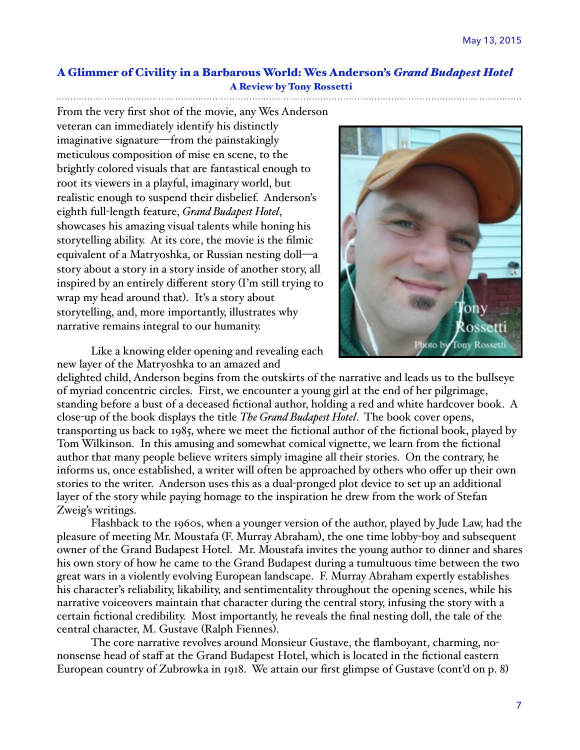#### A Glimmer of Civility in a Barbarous World: Wes Anderson's *Grand Budapest Hotel*  A Review by Tony Rossetti

From the very first shot of the movie, any Wes Anderson veteran can immediately identify his distinctly imaginative signature—from the painstakingly meticulous composition of mise en scene, to the brightly colored visuals that are fantastical enough to root its viewers in a playful, imaginary world, but realistic enough to suspend their disbelief. Anderson's eighth full-length feature, *Grand Budapest Hotel*, showcases his amazing visual talents while honing his storytelling ability. At its core, the movie is the filmic equivalent of a Matryoshka, or Russian nesting doll—a story about a story in a story inside of another story, all inspired by an entirely different story (I'm still trying to wrap my head around that). It's a story about storytelling, and, more importantly, illustrates why narrative remains integral to our humanity.



Like a knowing elder opening and revealing each new layer of the Matryoshka to an amazed and

delighted child, Anderson begins from the outskirts of the narrative and leads us to the bullseye of myriad concentric circles. First, we encounter a young girl at the end of her pilgrimage, standing before a bust of a deceased fictional author, holding a red and white hardcover book. A close-up of the book displays the title *The Grand Budapest Hotel*. The book cover opens, transporting us back to 1985, where we meet the fictional author of the fictional book, played by Tom Wilkinson. In this amusing and somewhat comical vignette, we learn from the fictional author that many people believe writers simply imagine all their stories. On the contrary, he informs us, once established, a writer will often be approached by others who offer up their own stories to the writer. Anderson uses this as a dual-pronged plot device to set up an additional layer of the story while paying homage to the inspiration he drew from the work of Stefan Zweig's writings.

Flashback to the 1960s, when a younger version of the author, played by Jude Law, had the pleasure of meeting Mr. Moustafa (F. Murray Abraham), the one time lobby-boy and subsequent owner of the Grand Budapest Hotel. Mr. Moustafa invites the young author to dinner and shares his own story of how he came to the Grand Budapest during a tumultuous time between the two great wars in a violently evolving European landscape. F. Murray Abraham expertly establishes his character's reliability, likability, and sentimentality throughout the opening scenes, while his narrative voiceovers maintain that character during the central story, infusing the story with a certain fictional credibility. Most importantly, he reveals the final nesting doll, the tale of the central character, M. Gustave (Ralph Fiennes).

The core narrative revolves around Monsieur Gustave, the flamboyant, charming, nononsense head of staff at the Grand Budapest Hotel, which is located in the fictional eastern European country of Zubrowka in 1918. We attain our first glimpse of Gustave (cont'd on p. 8)!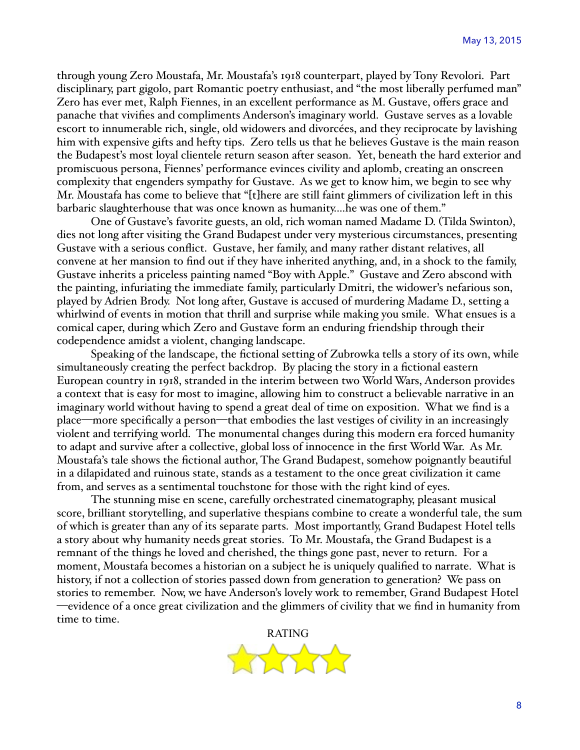through young Zero Moustafa, Mr. Moustafa's 1918 counterpart, played by Tony Revolori. Part disciplinary, part gigolo, part Romantic poetry enthusiast, and "the most liberally perfumed man" Zero has ever met, Ralph Fiennes, in an excellent performance as M. Gustave, offers grace and panache that vivifies and compliments Anderson's imaginary world. Gustave serves as a lovable escort to innumerable rich, single, old widowers and divorcées, and they reciprocate by lavishing him with expensive gifts and hefty tips. Zero tells us that he believes Gustave is the main reason the Budapest's most loyal clientele return season after season. Yet, beneath the hard exterior and promiscuous persona, Fiennes' performance evinces civility and aplomb, creating an onscreen complexity that engenders sympathy for Gustave. As we get to know him, we begin to see why Mr. Moustafa has come to believe that "[t]here are still faint glimmers of civilization left in this barbaric slaughterhouse that was once known as humanity.…he was one of them."

One of Gustave's favorite guests, an old, rich woman named Madame D. (Tilda Swinton), dies not long after visiting the Grand Budapest under very mysterious circumstances, presenting Gustave with a serious conflict. Gustave, her family, and many rather distant relatives, all convene at her mansion to find out if they have inherited anything, and, in a shock to the family, Gustave inherits a priceless painting named "Boy with Apple." Gustave and Zero abscond with the painting, infuriating the immediate family, particularly Dmitri, the widower's nefarious son, played by Adrien Brody. Not long after, Gustave is accused of murdering Madame D., setting a whirlwind of events in motion that thrill and surprise while making you smile. What ensues is a comical caper, during which Zero and Gustave form an enduring friendship through their codependence amidst a violent, changing landscape.

Speaking of the landscape, the fictional setting of Zubrowka tells a story of its own, while simultaneously creating the perfect backdrop. By placing the story in a fictional eastern European country in 1918, stranded in the interim between two World Wars, Anderson provides a context that is easy for most to imagine, allowing him to construct a believable narrative in an imaginary world without having to spend a great deal of time on exposition. What we find is a place—more specifically a person—that embodies the last vestiges of civility in an increasingly violent and terrifying world. The monumental changes during this modern era forced humanity to adapt and survive after a collective, global loss of innocence in the first World War. As Mr. Moustafa's tale shows the fictional author, The Grand Budapest, somehow poignantly beautiful in a dilapidated and ruinous state, stands as a testament to the once great civilization it came from, and serves as a sentimental touchstone for those with the right kind of eyes.

The stunning mise en scene, carefully orchestrated cinematography, pleasant musical score, brilliant storytelling, and superlative thespians combine to create a wonderful tale, the sum of which is greater than any of its separate parts. Most importantly, Grand Budapest Hotel tells a story about why humanity needs great stories. To Mr. Moustafa, the Grand Budapest is a remnant of the things he loved and cherished, the things gone past, never to return. For a moment, Moustafa becomes a historian on a subject he is uniquely qualified to narrate. What is history, if not a collection of stories passed down from generation to generation? We pass on stories to remember. Now, we have Anderson's lovely work to remember, Grand Budapest Hotel —evidence of a once great civilization and the glimmers of civility that we find in humanity from time to time.

RATING

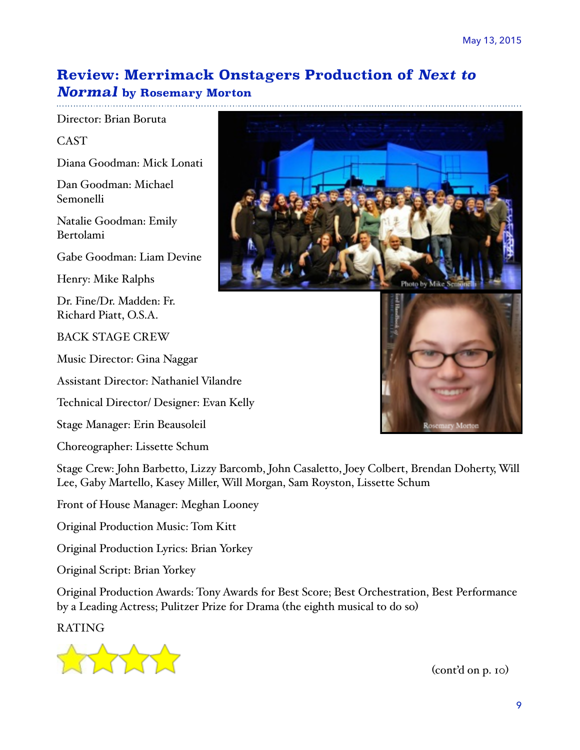# **Review: Merrimack Onstagers Production of** *Next to*

#### *Normal* **by Rosemary Morton**

Director: Brian Boruta

CAST

Diana Goodman: Mick Lonati

Dan Goodman: Michael Semonelli

Natalie Goodman: Emily Bertolami

Gabe Goodman: Liam Devine

Henry: Mike Ralphs

Dr. Fine/Dr. Madden: Fr. Richard Piatt, O.S.A.

BACK STAGE CREW

Music Director: Gina Naggar

Assistant Director: Nathaniel Vilandre

Technical Director/ Designer: Evan Kelly

Stage Manager: Erin Beausoleil

Choreographer: Lissette Schum

Stage Crew: John Barbetto, Lizzy Barcomb, John Casaletto, Joey Colbert, Brendan Doherty, Will Lee, Gaby Martello, Kasey Miller, Will Morgan, Sam Royston, Lissette Schum

Front of House Manager: Meghan Looney

Original Production Music: Tom Kitt

Original Production Lyrics: Brian Yorkey

Original Script: Brian Yorkey

Original Production Awards: Tony Awards for Best Score; Best Orchestration, Best Performance by a Leading Actress; Pulitzer Prize for Drama (the eighth musical to do so)

RATING



 $(cont'd \text{ on } p. \text{ 10})$ 



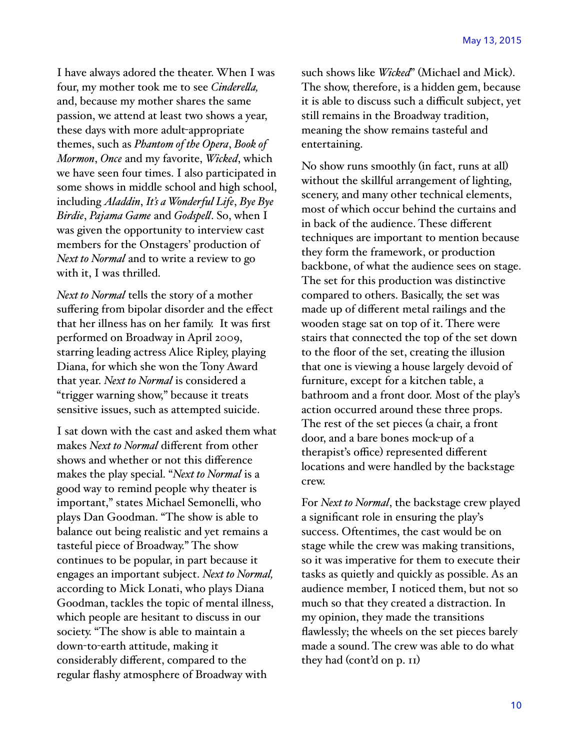I have always adored the theater. When I was four, my mother took me to see *Cinderela,* and, because my mother shares the same passion, we attend at least two shows a year, these days with more adult-appropriate themes, such as *Phantom of the Opera*, *Book of Mormon*, *Once* and my favorite, *Wicked*, which we have seen four times. I also participated in some shows in middle school and high school, including *Aladdin*, *It's a Wonderful Life*, *Bye Bye Birdie*, *Pajama Game* and *Godspel*. So, when I was given the opportunity to interview cast members for the Onstagers' production of *Next to Normal* and to write a review to go with it, I was thrilled.

*Next to Normal* tells the story of a mother suffering from bipolar disorder and the effect that her illness has on her family. It was first performed on Broadway in April 2009, starring leading actress Alice Ripley, playing Diana, for which she won the Tony Award that year. *Next to Normal* is considered a "trigger warning show," because it treats sensitive issues, such as attempted suicide.

I sat down with the cast and asked them what makes *Next to Normal* different from other shows and whether or not this difference makes the play special. "*Next to Normal* is a good way to remind people why theater is important," states Michael Semonelli, who plays Dan Goodman. "The show is able to balance out being realistic and yet remains a tasteful piece of Broadway." The show continues to be popular, in part because it engages an important subject. *Next to Normal,*  according to Mick Lonati, who plays Diana Goodman, tackles the topic of mental illness, which people are hesitant to discuss in our society. "The show is able to maintain a down-to-earth attitude, making it considerably different, compared to the regular flashy atmosphere of Broadway with

such shows like *Wicked*" (Michael and Mick). The show, therefore, is a hidden gem, because it is able to discuss such a difficult subject, yet still remains in the Broadway tradition, meaning the show remains tasteful and entertaining.

No show runs smoothly (in fact, runs at all) without the skillful arrangement of lighting, scenery, and many other technical elements, most of which occur behind the curtains and in back of the audience. These different techniques are important to mention because they form the framework, or production backbone, of what the audience sees on stage. The set for this production was distinctive compared to others. Basically, the set was made up of different metal railings and the wooden stage sat on top of it. There were stairs that connected the top of the set down to the floor of the set, creating the illusion that one is viewing a house largely devoid of furniture, except for a kitchen table, a bathroom and a front door. Most of the play's action occurred around these three props. The rest of the set pieces (a chair, a front door, and a bare bones mock-up of a therapist's office) represented different locations and were handled by the backstage crew.

For *Next to Normal*, the backstage crew played a significant role in ensuring the play's success. Oftentimes, the cast would be on stage while the crew was making transitions, so it was imperative for them to execute their tasks as quietly and quickly as possible. As an audience member, I noticed them, but not so much so that they created a distraction. In my opinion, they made the transitions flawlessly; the wheels on the set pieces barely made a sound. The crew was able to do what they had (cont'd on p. 11)!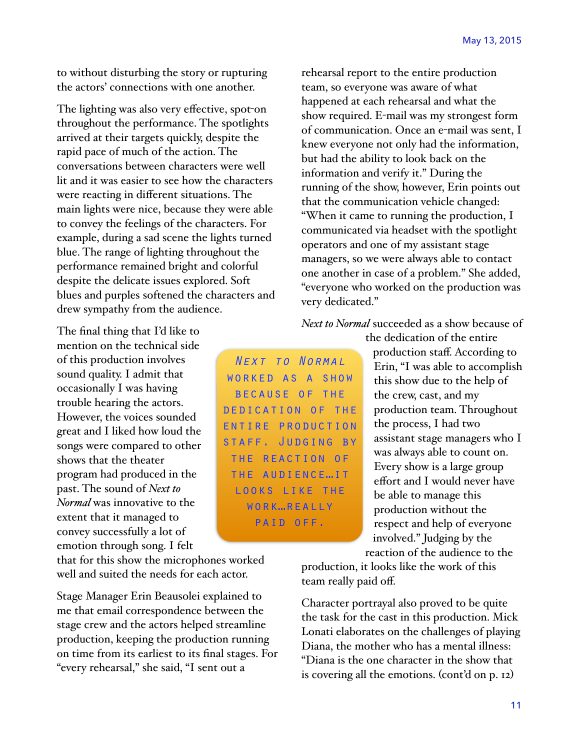to without disturbing the story or rupturing the actors' connections with one another.

The lighting was also very effective, spot-on throughout the performance. The spotlights arrived at their targets quickly, despite the rapid pace of much of the action. The conversations between characters were well lit and it was easier to see how the characters were reacting in different situations. The main lights were nice, because they were able to convey the feelings of the characters. For example, during a sad scene the lights turned blue. The range of lighting throughout the performance remained bright and colorful despite the delicate issues explored. Soft blues and purples softened the characters and drew sympathy from the audience.

The final thing that I'd like to mention on the technical side of this production involves sound quality. I admit that occasionally I was having trouble hearing the actors. However, the voices sounded great and I liked how loud the songs were compared to other shows that the theater program had produced in the past. The sound of *Next to Normal* was innovative to the extent that it managed to convey successfully a lot of emotion through song. I felt

that for this show the microphones worked well and suited the needs for each actor.

Stage Manager Erin Beausolei explained to me that email correspondence between the stage crew and the actors helped streamline production, keeping the production running on time from its earliest to its final stages. For "every rehearsal," she said, "I sent out a

rehearsal report to the entire production team, so everyone was aware of what happened at each rehearsal and what the show required. E-mail was my strongest form of communication. Once an e-mail was sent, I knew everyone not only had the information, but had the ability to look back on the information and verify it." During the running of the show, however, Erin points out that the communication vehicle changed: "When it came to running the production, I communicated via headset with the spotlight operators and one of my assistant stage managers, so we were always able to contact one another in case of a problem." She added, "everyone who worked on the production was very dedicated."

*Next to Normal* succeeded as a show because of

*Next to Normal*  worked as a show because of the dedication of the entire production staff. Judging by the reaction of the audience…it looks like the work…really paid off.

the dedication of the entire production staff. According to Erin, "I was able to accomplish this show due to the help of the crew, cast, and my production team. Throughout the process, I had two assistant stage managers who I was always able to count on. Every show is a large group effort and I would never have be able to manage this production without the respect and help of everyone involved." Judging by the reaction of the audience to the

production, it looks like the work of this team really paid off.

Character portrayal also proved to be quite the task for the cast in this production. Mick Lonati elaborates on the challenges of playing Diana, the mother who has a mental illness: "Diana is the one character in the show that is covering all the emotions. (cont'd on p. 12)!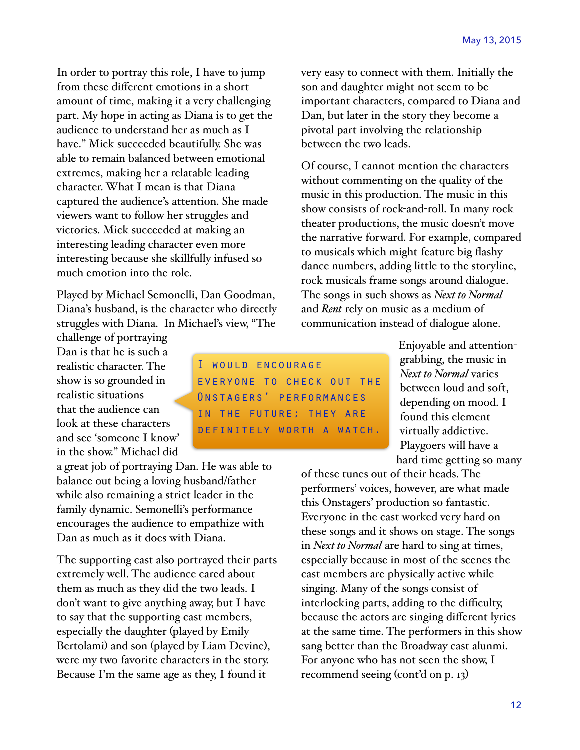In order to portray this role, I have to jump from these different emotions in a short amount of time, making it a very challenging part. My hope in acting as Diana is to get the audience to understand her as much as I have." Mick succeeded beautifully. She was able to remain balanced between emotional extremes, making her a relatable leading character. What I mean is that Diana captured the audience's attention. She made viewers want to follow her struggles and victories. Mick succeeded at making an interesting leading character even more interesting because she skillfully infused so much emotion into the role.

Played by Michael Semonelli, Dan Goodman, Diana's husband, is the character who directly struggles with Diana. In Michael's view, "The

challenge of portraying Dan is that he is such a realistic character. The show is so grounded in realistic situations that the audience can look at these characters and see 'someone I know' in the show." Michael did

a great job of portraying Dan. He was able to balance out being a loving husband/father while also remaining a strict leader in the family dynamic. Semonelli's performance encourages the audience to empathize with Dan as much as it does with Diana.

The supporting cast also portrayed their parts extremely well. The audience cared about them as much as they did the two leads. I don't want to give anything away, but I have to say that the supporting cast members, especially the daughter (played by Emily Bertolami) and son (played by Liam Devine), were my two favorite characters in the story. Because I'm the same age as they, I found it

very easy to connect with them. Initially the son and daughter might not seem to be important characters, compared to Diana and Dan, but later in the story they become a pivotal part involving the relationship between the two leads.

Of course, I cannot mention the characters without commenting on the quality of the music in this production. The music in this show consists of rock-and-roll. In many rock theater productions, the music doesn't move the narrative forward. For example, compared to musicals which might feature big flashy dance numbers, adding little to the storyline, rock musicals frame songs around dialogue. The songs in such shows as *Next to Normal* and *Rent* rely on music as a medium of communication instead of dialogue alone.

I would encourage everyone to check out the Onstagers' performances in the future; they are definitely worth a watch.

Enjoyable and attentiongrabbing, the music in *Next to Normal* varies between loud and soft, depending on mood. I found this element virtually addictive. Playgoers will have a hard time getting so many

of these tunes out of their heads. The performers' voices, however, are what made this Onstagers' production so fantastic. Everyone in the cast worked very hard on these songs and it shows on stage. The songs in *Next to Normal* are hard to sing at times, especially because in most of the scenes the cast members are physically active while singing. Many of the songs consist of interlocking parts, adding to the difficulty, because the actors are singing different lyrics at the same time. The performers in this show sang better than the Broadway cast alunmi. For anyone who has not seen the show, I recommend seeing (cont'd on p. 13)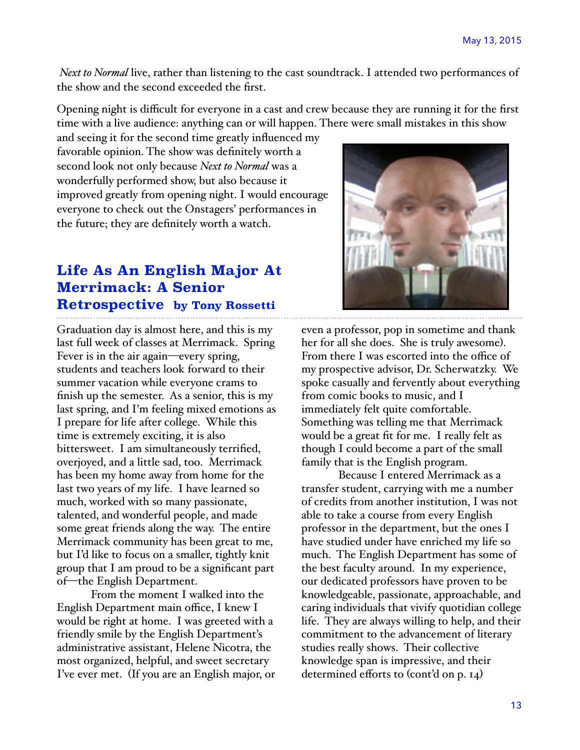*Next to Normal* live, rather than listening to the cast soundtrack. I attended two performances of the show and the second exceeded the first.

Opening night is difficult for everyone in a cast and crew because they are running it for the first time with a live audience: anything can or will happen. There were small mistakes in this show

and seeing it for the second time greatly influenced my favorable opinion. The show was definitely worth a second look not only because *Next to Normal* was a wonderfully performed show, but also because it improved greatly from opening night. I would encourage everyone to check out the Onstagers' performances in the future; they are definitely worth a watch.

# **Life As An English Major At Merrimack: A Senior Retrospective by Tony Rossetti**

Graduation day is almost here, and this is my last full week of classes at Merrimack. Spring Fever is in the air again—every spring, students and teachers look forward to their summer vacation while everyone crams to finish up the semester. As a senior, this is my last spring, and I'm feeling mixed emotions as I prepare for life after college. While this time is extremely exciting, it is also bittersweet. I am simultaneously terrified, overjoyed, and a little sad, too. Merrimack has been my home away from home for the last two years of my life. I have learned so much, worked with so many passionate, talented, and wonderful people, and made some great friends along the way. The entire Merrimack community has been great to me, but I'd like to focus on a smaller, tightly knit group that I am proud to be a significant part of—the English Department.

From the moment I walked into the English Department main office, I knew I would be right at home. I was greeted with a friendly smile by the English Department's administrative assistant, Helene Nicotra, the most organized, helpful, and sweet secretary I've ever met. (If you are an English major, or



even a professor, pop in sometime and thank her for all she does. She is truly awesome). From there I was escorted into the office of my prospective advisor, Dr. Scherwatzky. We spoke casually and fervently about everything from comic books to music, and I immediately felt quite comfortable. Something was telling me that Merrimack would be a great fit for me. I really felt as though I could become a part of the small family that is the English program.

 Because I entered Merrimack as a transfer student, carrying with me a number of credits from another institution, I was not able to take a course from every English professor in the department, but the ones I have studied under have enriched my life so much. The English Department has some of the best faculty around. In my experience, our dedicated professors have proven to be knowledgeable, passionate, approachable, and caring individuals that vivify quotidian college life. They are always willing to help, and their commitment to the advancement of literary studies really shows. Their collective knowledge span is impressive, and their determined efforts to (cont'd on p. 14)!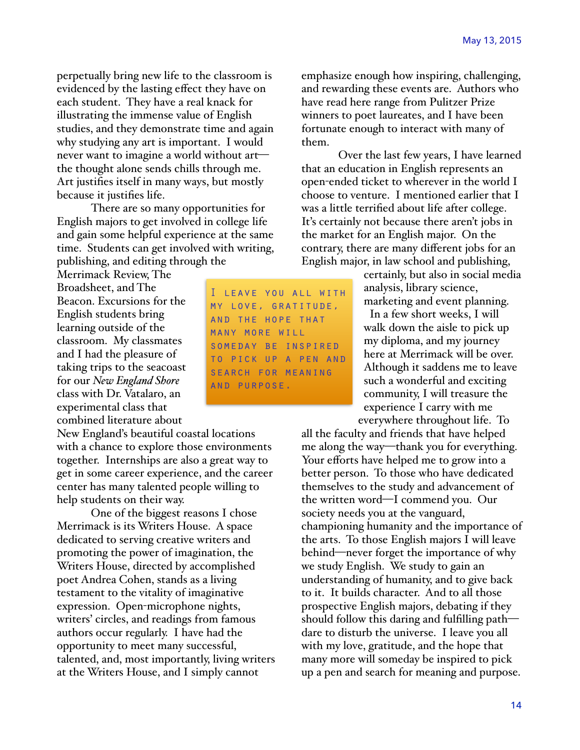perpetually bring new life to the classroom is evidenced by the lasting effect they have on each student. They have a real knack for illustrating the immense value of English studies, and they demonstrate time and again why studying any art is important. I would never want to imagine a world without art the thought alone sends chills through me. Art justifies itself in many ways, but mostly because it justifies life.

There are so many opportunities for English majors to get involved in college life and gain some helpful experience at the same time. Students can get involved with writing, publishing, and editing through the

Merrimack Review, The Broadsheet, and The Beacon. Excursions for the English students bring learning outside of the classroom. My classmates and I had the pleasure of taking trips to the seacoast for our *New England Shore* class with Dr. Vatalaro, an experimental class that combined literature about

New England's beautiful coastal locations with a chance to explore those environments together. Internships are also a great way to get in some career experience, and the career center has many talented people willing to help students on their way.

One of the biggest reasons I chose Merrimack is its Writers House. A space dedicated to serving creative writers and promoting the power of imagination, the Writers House, directed by accomplished poet Andrea Cohen, stands as a living testament to the vitality of imaginative expression. Open-microphone nights, writers' circles, and readings from famous authors occur regularly. I have had the opportunity to meet many successful, talented, and, most importantly, living writers at the Writers House, and I simply cannot

I leave you all with my love, gratitude, and the hope that many more will someday be inspired to pick up a pen and search for meaning and purpose.

emphasize enough how inspiring, challenging, and rewarding these events are. Authors who have read here range from Pulitzer Prize winners to poet laureates, and I have been fortunate enough to interact with many of them.

 Over the last few years, I have learned that an education in English represents an open-ended ticket to wherever in the world I choose to venture. I mentioned earlier that I was a little terrified about life after college. It's certainly not because there aren't jobs in the market for an English major. On the contrary, there are many different jobs for an English major, in law school and publishing,

> certainly, but also in social media analysis, library science, marketing and event planning. In a few short weeks, I will walk down the aisle to pick up my diploma, and my journey here at Merrimack will be over. Although it saddens me to leave such a wonderful and exciting community, I will treasure the experience I carry with me everywhere throughout life. To

all the faculty and friends that have helped me along the way—thank you for everything. Your efforts have helped me to grow into a better person. To those who have dedicated themselves to the study and advancement of the written word—I commend you. Our society needs you at the vanguard, championing humanity and the importance of the arts. To those English majors I will leave behind—never forget the importance of why we study English. We study to gain an understanding of humanity, and to give back to it. It builds character. And to all those prospective English majors, debating if they should follow this daring and fulfilling path dare to disturb the universe. I leave you all with my love, gratitude, and the hope that many more will someday be inspired to pick up a pen and search for meaning and purpose.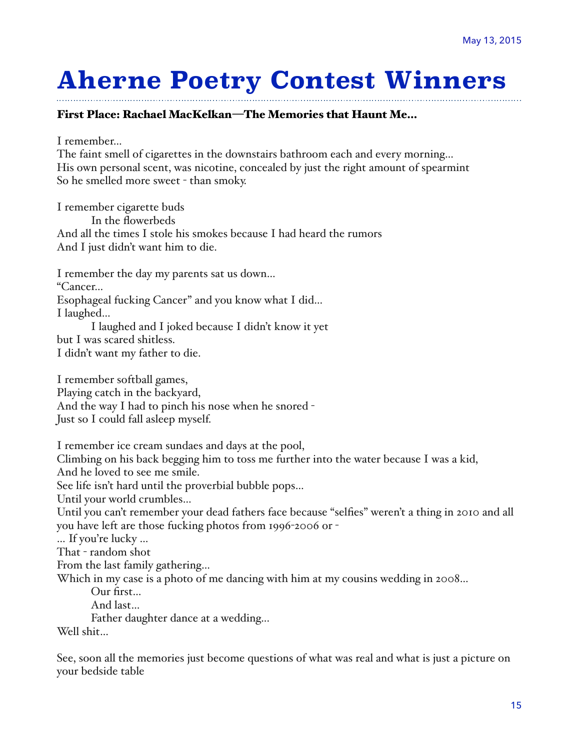# **Aherne Poetry Contest Winners**

#### First Place: Rachael MacKelkan—The Memories that Haunt Me…

I remember…

The faint smell of cigarettes in the downstairs bathroom each and every morning… His own personal scent, was nicotine, concealed by just the right amount of spearmint So he smelled more sweet - than smoky.

I remember cigarette buds In the flowerbeds And all the times I stole his smokes because I had heard the rumors And I just didn't want him to die.

I remember the day my parents sat us down… "Cancer… Esophageal fucking Cancer" and you know what I did… I laughed… I laughed and I joked because I didn't know it yet

but I was scared shitless. I didn't want my father to die.

I remember softball games, Playing catch in the backyard, And the way I had to pinch his nose when he snored -Just so I could fall asleep myself.

I remember ice cream sundaes and days at the pool,

Climbing on his back begging him to toss me further into the water because I was a kid, And he loved to see me smile.

See life isn't hard until the proverbial bubble pops…

Until your world crumbles…

Until you can't remember your dead fathers face because "selfies" weren't a thing in 2010 and all you have left are those fucking photos from 1996-2006 or -

… If you're lucky …

That - random shot

From the last family gathering…

Which in my case is a photo of me dancing with him at my cousins wedding in 2008...

Our first…

And last…

Father daughter dance at a wedding...

Well shit…

See, soon all the memories just become questions of what was real and what is just a picture on your bedside table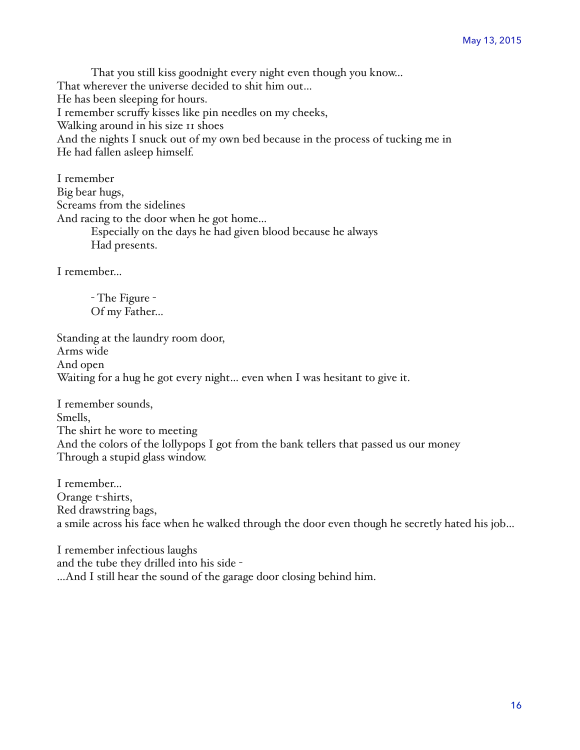That you still kiss goodnight every night even though you know… That wherever the universe decided to shit him out… He has been sleeping for hours. I remember scruffy kisses like pin needles on my cheeks, Walking around in his size  $\pi$  shoes And the nights I snuck out of my own bed because in the process of tucking me in He had fallen asleep himself.

I remember Big bear hugs, Screams from the sidelines And racing to the door when he got home… Especially on the days he had given blood because he always Had presents.

I remember…

- The Figure - Of my Father…

Standing at the laundry room door, Arms wide And open Waiting for a hug he got every night… even when I was hesitant to give it.

I remember sounds, Smells, The shirt he wore to meeting And the colors of the lollypops I got from the bank tellers that passed us our money Through a stupid glass window.

I remember… Orange t-shirts, Red drawstring bags, a smile across his face when he walked through the door even though he secretly hated his job…

I remember infectious laughs and the tube they drilled into his side -…And I still hear the sound of the garage door closing behind him.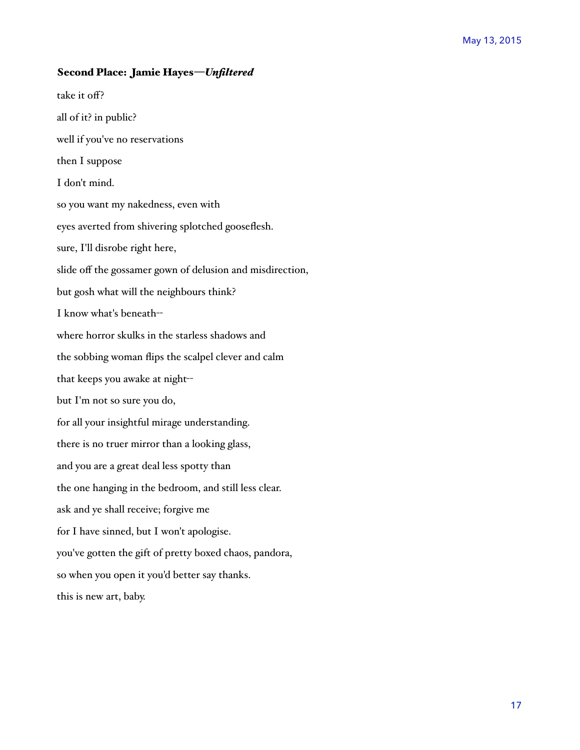#### Second Place: Jamie Hayes—*Unfiltered*

take it off? all of it? in public? well if you've no reservations then I suppose I don't mind. so you want my nakedness, even with eyes averted from shivering splotched gooseflesh. sure, I'll disrobe right here, slide off the gossamer gown of delusion and misdirection, but gosh what will the neighbours think? I know what's beneath-where horror skulks in the starless shadows and the sobbing woman flips the scalpel clever and calm that keeps you awake at night-but I'm not so sure you do, for all your insightful mirage understanding. there is no truer mirror than a looking glass, and you are a great deal less spotty than the one hanging in the bedroom, and still less clear. ask and ye shall receive; forgive me for I have sinned, but I won't apologise. you've gotten the gift of pretty boxed chaos, pandora, so when you open it you'd better say thanks. this is new art, baby.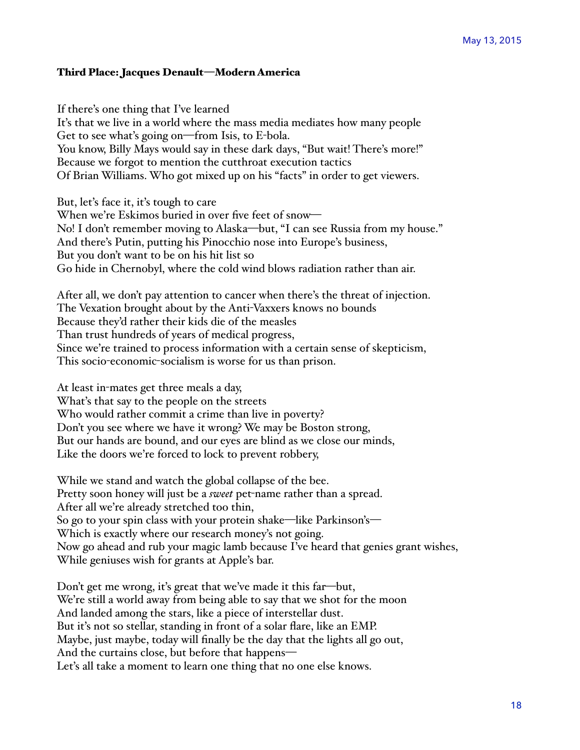#### Third Place: Jacques Denault—Modern America

If there's one thing that I've learned It's that we live in a world where the mass media mediates how many people Get to see what's going on—from Isis, to E-bola. You know, Billy Mays would say in these dark days, "But wait! There's more!" Because we forgot to mention the cutthroat execution tactics Of Brian Williams. Who got mixed up on his "facts" in order to get viewers.

But, let's face it, it's tough to care When we're Eskimos buried in over five feet of snow-No! I don't remember moving to Alaska—but, "I can see Russia from my house." And there's Putin, putting his Pinocchio nose into Europe's business, But you don't want to be on his hit list so Go hide in Chernobyl, where the cold wind blows radiation rather than air.

After all, we don't pay attention to cancer when there's the threat of injection. The Vexation brought about by the Anti-Vaxxers knows no bounds Because they'd rather their kids die of the measles Than trust hundreds of years of medical progress, Since we're trained to process information with a certain sense of skepticism, This socio-economic-socialism is worse for us than prison.

At least in-mates get three meals a day, What's that say to the people on the streets Who would rather commit a crime than live in poverty? Don't you see where we have it wrong? We may be Boston strong, But our hands are bound, and our eyes are blind as we close our minds, Like the doors we're forced to lock to prevent robbery,

While we stand and watch the global collapse of the bee. Pretty soon honey will just be a *sweet* pet-name rather than a spread. After all we're already stretched too thin, So go to your spin class with your protein shake—like Parkinson's— Which is exactly where our research money's not going. Now go ahead and rub your magic lamb because I've heard that genies grant wishes, While geniuses wish for grants at Apple's bar.

Don't get me wrong, it's great that we've made it this far—but, We're still a world away from being able to say that we shot for the moon And landed among the stars, like a piece of interstellar dust. But it's not so stellar, standing in front of a solar flare, like an EMP. Maybe, just maybe, today will finally be the day that the lights all go out, And the curtains close, but before that happens— Let's all take a moment to learn one thing that no one else knows.